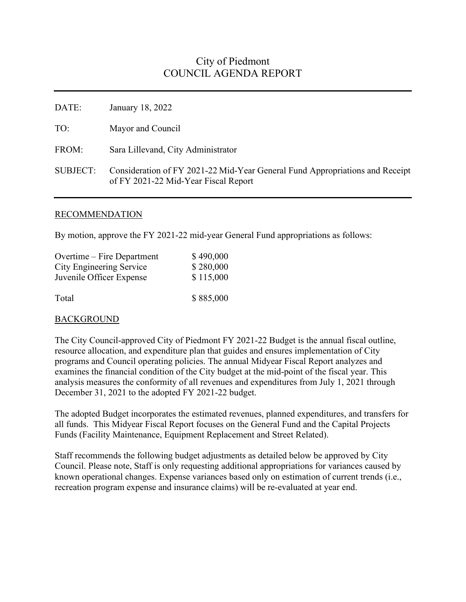# City of Piedmont COUNCIL AGENDA REPORT

DATE: January 18, 2022 TO: Mayor and Council FROM: Sara Lillevand, City Administrator SUBJECT: Consideration of FY 2021-22 Mid-Year General Fund Appropriations and Receipt of FY 2021-22 Mid-Year Fiscal Report

### RECOMMENDATION

By motion, approve the FY 2021-22 mid-year General Fund appropriations as follows:

| Overtime – Fire Department      | \$490,000 |
|---------------------------------|-----------|
| <b>City Engineering Service</b> | \$280,000 |
| Juvenile Officer Expense        | \$115,000 |
| Total                           | \$885,000 |

## BACKGROUND

The City Council-approved City of Piedmont FY 2021-22 Budget is the annual fiscal outline, resource allocation, and expenditure plan that guides and ensures implementation of City programs and Council operating policies. The annual Midyear Fiscal Report analyzes and examines the financial condition of the City budget at the mid-point of the fiscal year. This analysis measures the conformity of all revenues and expenditures from July 1, 2021 through December 31, 2021 to the adopted FY 2021-22 budget.

The adopted Budget incorporates the estimated revenues, planned expenditures, and transfers for all funds. This Midyear Fiscal Report focuses on the General Fund and the Capital Projects Funds (Facility Maintenance, Equipment Replacement and Street Related).

Staff recommends the following budget adjustments as detailed below be approved by City Council. Please note, Staff is only requesting additional appropriations for variances caused by known operational changes. Expense variances based only on estimation of current trends (i.e., recreation program expense and insurance claims) will be re-evaluated at year end.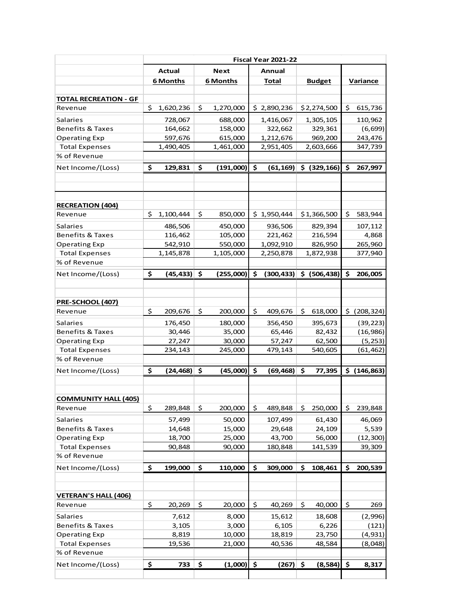| Fiscal Year 2021-22 |                |                                                                            |                                  |                                                                       |              |                                                                        |                 |                                                                                                                                                 |                |  |  |
|---------------------|----------------|----------------------------------------------------------------------------|----------------------------------|-----------------------------------------------------------------------|--------------|------------------------------------------------------------------------|-----------------|-------------------------------------------------------------------------------------------------------------------------------------------------|----------------|--|--|
|                     | <b>Actual</b>  |                                                                            | <b>Next</b>                      |                                                                       | Annual       |                                                                        |                 |                                                                                                                                                 |                |  |  |
|                     |                |                                                                            |                                  |                                                                       | <b>Total</b> |                                                                        |                 |                                                                                                                                                 | Variance       |  |  |
|                     |                |                                                                            |                                  |                                                                       |              |                                                                        |                 |                                                                                                                                                 |                |  |  |
|                     |                |                                                                            |                                  |                                                                       |              |                                                                        |                 |                                                                                                                                                 |                |  |  |
|                     |                |                                                                            |                                  |                                                                       |              |                                                                        |                 |                                                                                                                                                 | 615,736        |  |  |
|                     | 728,067        |                                                                            | 688,000                          |                                                                       | 1,416,067    |                                                                        |                 |                                                                                                                                                 | 110,962        |  |  |
|                     | 164,662        |                                                                            | 158,000                          |                                                                       | 322,662      |                                                                        | 329,361         |                                                                                                                                                 | (6, 699)       |  |  |
|                     | 597,676        |                                                                            | 615,000                          |                                                                       | 1,212,676    |                                                                        | 969,200         |                                                                                                                                                 | 243,476        |  |  |
|                     |                |                                                                            | 1,461,000                        |                                                                       |              |                                                                        |                 |                                                                                                                                                 | 347,739        |  |  |
|                     |                |                                                                            |                                  |                                                                       |              |                                                                        |                 |                                                                                                                                                 |                |  |  |
| \$                  | 129,831        | \$                                                                         | (191,000)                        | \$                                                                    | (61, 169)    |                                                                        |                 | \$                                                                                                                                              | 267,997        |  |  |
|                     |                |                                                                            |                                  |                                                                       |              |                                                                        |                 |                                                                                                                                                 |                |  |  |
|                     |                |                                                                            |                                  |                                                                       |              |                                                                        |                 |                                                                                                                                                 |                |  |  |
|                     |                |                                                                            |                                  |                                                                       |              |                                                                        |                 |                                                                                                                                                 | 583,944        |  |  |
|                     | 486,506        |                                                                            | 450,000                          |                                                                       | 936,506      |                                                                        | 829,394         |                                                                                                                                                 | 107,112        |  |  |
|                     | 116,462        |                                                                            | 105,000                          |                                                                       | 221,462      |                                                                        | 216,594         |                                                                                                                                                 | 4,868          |  |  |
|                     | 542,910        |                                                                            | 550,000                          |                                                                       | 1,092,910    |                                                                        | 826,950         |                                                                                                                                                 | 265,960        |  |  |
|                     | 1,145,878      |                                                                            | 1,105,000                        |                                                                       | 2,250,878    |                                                                        |                 |                                                                                                                                                 | 377,940        |  |  |
|                     |                |                                                                            |                                  |                                                                       |              |                                                                        |                 |                                                                                                                                                 |                |  |  |
| \$                  | (45,433)       | \$                                                                         | (255,000)                        | \$                                                                    | (300,433)    | \$.                                                                    |                 | \$                                                                                                                                              | 206,005        |  |  |
|                     |                |                                                                            |                                  |                                                                       |              |                                                                        |                 |                                                                                                                                                 |                |  |  |
|                     |                |                                                                            |                                  |                                                                       |              |                                                                        |                 |                                                                                                                                                 |                |  |  |
| \$                  | 209,676        | \$                                                                         | 200,000                          | \$                                                                    | 409,676      | \$                                                                     | 618,000         | \$.                                                                                                                                             | (208, 324)     |  |  |
|                     | 176,450        |                                                                            | 180,000                          |                                                                       | 356,450      |                                                                        | 395,673         |                                                                                                                                                 | (39, 223)      |  |  |
|                     | 30,446         |                                                                            | 35,000                           |                                                                       | 65,446       |                                                                        | 82,432          |                                                                                                                                                 | (16, 986)      |  |  |
|                     | 27,247         |                                                                            | 30,000                           |                                                                       | 57,247       |                                                                        | 62,500          |                                                                                                                                                 | (5, 253)       |  |  |
|                     | 234,143        |                                                                            | 245,000                          |                                                                       | 479,143      |                                                                        | 540,605         |                                                                                                                                                 | (61, 462)      |  |  |
|                     |                |                                                                            |                                  |                                                                       |              |                                                                        |                 |                                                                                                                                                 |                |  |  |
| \$                  |                |                                                                            | (45,000)                         | \$                                                                    |              | \$                                                                     | 77,395          |                                                                                                                                                 | \$ (146, 863)  |  |  |
|                     |                |                                                                            |                                  |                                                                       |              |                                                                        |                 |                                                                                                                                                 |                |  |  |
|                     |                |                                                                            |                                  |                                                                       |              |                                                                        |                 |                                                                                                                                                 |                |  |  |
| \$                  | 289,848        | \$                                                                         | 200,000                          | \$                                                                    | 489,848      | \$                                                                     | 250,000         | \$                                                                                                                                              | 239,848        |  |  |
|                     |                |                                                                            |                                  |                                                                       |              |                                                                        |                 |                                                                                                                                                 | 46,069         |  |  |
|                     | 14,648         |                                                                            |                                  |                                                                       |              |                                                                        | 24,109          |                                                                                                                                                 | 5,539          |  |  |
|                     | 18,700         |                                                                            | 25,000                           |                                                                       | 43,700       |                                                                        |                 |                                                                                                                                                 | (12, 300)      |  |  |
|                     | 90,848         |                                                                            | 90,000                           |                                                                       | 180,848      |                                                                        | 141,539         |                                                                                                                                                 | 39,309         |  |  |
|                     |                |                                                                            |                                  |                                                                       |              |                                                                        |                 |                                                                                                                                                 |                |  |  |
| \$                  | 199,000        | \$                                                                         | 110,000                          | \$                                                                    | 309,000      | \$                                                                     | 108,461         | \$                                                                                                                                              | 200,539        |  |  |
|                     |                |                                                                            |                                  |                                                                       |              |                                                                        |                 |                                                                                                                                                 |                |  |  |
|                     |                |                                                                            |                                  |                                                                       |              |                                                                        |                 |                                                                                                                                                 |                |  |  |
|                     |                |                                                                            |                                  |                                                                       |              |                                                                        |                 |                                                                                                                                                 | 269            |  |  |
|                     | 7,612          |                                                                            | 8,000                            |                                                                       | 15,612       |                                                                        | 18,608          |                                                                                                                                                 | (2,996)        |  |  |
|                     | 3,105          |                                                                            | 3,000                            |                                                                       | 6,105        |                                                                        | 6,226           |                                                                                                                                                 | (121)          |  |  |
|                     | 8,819          |                                                                            | 10,000                           |                                                                       | 18,819       |                                                                        | 23,750          |                                                                                                                                                 | (4,931)        |  |  |
|                     | 19,536         |                                                                            | 21,000                           |                                                                       | 40,536       |                                                                        | 48,584          |                                                                                                                                                 | (8,048)        |  |  |
|                     |                |                                                                            |                                  |                                                                       |              |                                                                        |                 |                                                                                                                                                 |                |  |  |
| \$                  | 733            | \$                                                                         | (1,000)                          | \$                                                                    | (267)        | \$                                                                     | (8,584)         | \$                                                                                                                                              | 8,317          |  |  |
|                     | \$<br>Ś.<br>\$ | <b>6 Months</b><br>1,620,236<br>1,490,405<br>1,100,444<br>57,499<br>20,269 | \$<br>Ŝ.<br>$(24, 468)$ \$<br>\$ | <b>6 Months</b><br>1,270,000<br>850,000<br>50,000<br>15,000<br>20,000 | \$           | \$2,890,236<br>2,951,405<br>\$1,950,444<br>107,499<br>29,648<br>40,269 | (69, 468)<br>\$ | <b>Budget</b><br>\$2,274,500<br>1,305,105<br>2,603,666<br>$$$ (329,166)<br>\$1,366,500<br>1,872,938<br>(506, 438)<br>61,430<br>56,000<br>40,000 | \$<br>\$<br>\$ |  |  |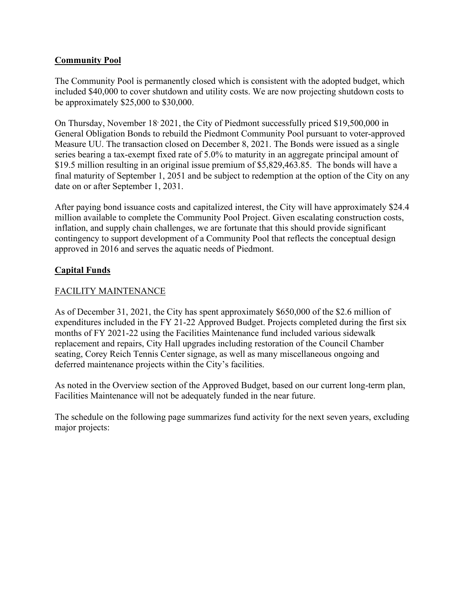#### **Community Pool**

The Community Pool is permanently closed which is consistent with the adopted budget, which included \$40,000 to cover shutdown and utility costs. We are now projecting shutdown costs to be approximately \$25,000 to \$30,000.

On Thursday, November 18<sup>,</sup> 2021, the City of Piedmont successfully priced \$19,500,000 in General Obligation Bonds to rebuild the Piedmont Community Pool pursuant to voter-approved Measure UU. The transaction closed on December 8, 2021. The Bonds were issued as a single series bearing a tax-exempt fixed rate of 5.0% to maturity in an aggregate principal amount of \$19.5 million resulting in an original issue premium of \$5,829,463.85. The bonds will have a final maturity of September 1, 2051 and be subject to redemption at the option of the City on any date on or after September 1, 2031.

After paying bond issuance costs and capitalized interest, the City will have approximately \$24.4 million available to complete the Community Pool Project. Given escalating construction costs, inflation, and supply chain challenges, we are fortunate that this should provide significant contingency to support development of a Community Pool that reflects the conceptual design approved in 2016 and serves the aquatic needs of Piedmont.

#### **Capital Funds**

#### FACILITY MAINTENANCE

As of December 31, 2021, the City has spent approximately \$650,000 of the \$2.6 million of expenditures included in the FY 21-22 Approved Budget. Projects completed during the first six months of FY 2021-22 using the Facilities Maintenance fund included various sidewalk replacement and repairs, City Hall upgrades including restoration of the Council Chamber seating, Corey Reich Tennis Center signage, as well as many miscellaneous ongoing and deferred maintenance projects within the City's facilities.

As noted in the Overview section of the Approved Budget, based on our current long-term plan, Facilities Maintenance will not be adequately funded in the near future.

The schedule on the following page summarizes fund activity for the next seven years, excluding major projects: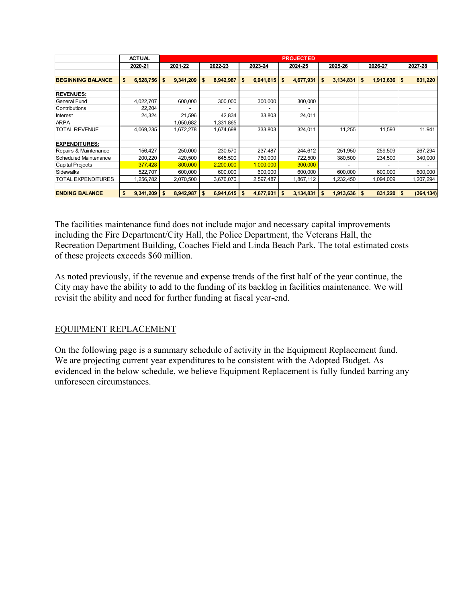|                              |         | <b>ACTUAL</b>  | <b>PROJECTED</b> |           |         |                |    |                |    |           |     |                  |     |              |    |            |
|------------------------------|---------|----------------|------------------|-----------|---------|----------------|----|----------------|----|-----------|-----|------------------|-----|--------------|----|------------|
|                              | 2020-21 |                | 2021-22          |           | 2022-23 |                |    | 2023-24        |    | 2024-25   |     | 2025-26          |     | 2026-27      |    | 2027-28    |
|                              |         |                |                  |           |         |                |    |                |    |           |     |                  |     |              |    |            |
| <b>BEGINNING BALANCE</b>     | \$      | 6,528,756      | \$               | 9,341,209 | \$      | 8,942,987      | \$ | 6,941,615      | \$ | 4,677,931 | \$  | 3,134,831        | -\$ | 1,913,636    | \$ | 831,220    |
|                              |         |                |                  |           |         |                |    |                |    |           |     |                  |     |              |    |            |
| <b>REVENUES:</b>             |         |                |                  |           |         |                |    |                |    |           |     |                  |     |              |    |            |
| General Fund                 |         | 4,022,707      |                  | 600,000   |         | 300,000        |    | 300,000        |    | 300,000   |     |                  |     |              |    |            |
| Contributions                |         | 22,204         |                  |           |         |                |    |                |    |           |     |                  |     |              |    |            |
| Interest                     |         | 24,324         |                  | 21,596    |         | 42,834         |    | 33,803         |    | 24,011    |     |                  |     |              |    |            |
| <b>ARPA</b>                  |         |                |                  | 1,050,682 |         | 1,331,865      |    |                |    |           |     |                  |     |              |    |            |
| <b>TOTAL REVENUE</b>         |         | 4,069,235      |                  | 1,672,278 |         | 1,674,698      |    | 333,803        |    | 324,011   |     | 11,255           |     | 11,593       |    | 11,941     |
|                              |         |                |                  |           |         |                |    |                |    |           |     |                  |     |              |    |            |
| <b>EXPENDITURES:</b>         |         |                |                  |           |         |                |    |                |    |           |     |                  |     |              |    |            |
| Repairs & Maintenance        |         | 156,427        |                  | 250,000   |         | 230,570        |    | 237,487        |    | 244,612   |     | 251,950          |     | 259,509      |    | 267,294    |
| <b>Scheduled Maintenance</b> |         | 200,220        |                  | 420,500   |         | 645,500        |    | 760,000        |    | 722,500   |     | 380,500          |     | 234,500      |    | 340,000    |
| <b>Capital Projects</b>      |         | 377,428        |                  | 800,000   |         | 2,200,000      |    | 1,000,000      |    | 300,000   |     |                  |     |              |    |            |
| <b>Sidewalks</b>             |         | 522,707        |                  | 600,000   |         | 600,000        |    | 600,000        |    | 600,000   |     | 600,000          |     | 600,000      |    | 600,000    |
| <b>TOTAL EXPENDITURES</b>    |         | 1,256,782      |                  | 2,070,500 |         | 3,676,070      |    | 2,597,487      |    | 1,867,112 |     | 1,232,450        |     | 1,094,009    |    | 1,207,294  |
|                              |         |                |                  |           |         |                |    |                |    |           |     |                  |     |              |    |            |
| <b>ENDING BALANCE</b>        | \$      | $9,341,209$ \$ |                  | 8,942,987 | \$      | $6,941,615$ \$ |    | $4,677,931$ \$ |    | 3,134,831 | -\$ | $1,913,636$   \$ |     | $831,220$ \$ |    | (364, 134) |

The facilities maintenance fund does not include major and necessary capital improvements including the Fire Department/City Hall, the Police Department, the Veterans Hall, the Recreation Department Building, Coaches Field and Linda Beach Park. The total estimated costs of these projects exceeds \$60 million.

As noted previously, if the revenue and expense trends of the first half of the year continue, the City may have the ability to add to the funding of its backlog in facilities maintenance. We will revisit the ability and need for further funding at fiscal year-end.

#### EQUIPMENT REPLACEMENT

On the following page is a summary schedule of activity in the Equipment Replacement fund. We are projecting current year expenditures to be consistent with the Adopted Budget. As evidenced in the below schedule, we believe Equipment Replacement is fully funded barring any unforeseen circumstances.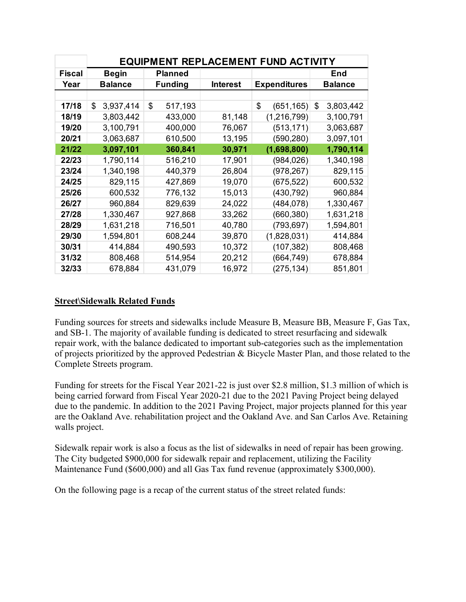|               | <b>EQUIPMENT REPLACEMENT FUND ACTIVITY</b> |                |                 |                     |                 |  |  |  |  |  |  |  |  |  |
|---------------|--------------------------------------------|----------------|-----------------|---------------------|-----------------|--|--|--|--|--|--|--|--|--|
| <b>Fiscal</b> | Begin                                      | Planned        |                 |                     | End             |  |  |  |  |  |  |  |  |  |
| Year          | <b>Balance</b>                             | <b>Funding</b> | <b>Interest</b> | <b>Expenditures</b> | <b>Balance</b>  |  |  |  |  |  |  |  |  |  |
|               |                                            |                |                 |                     |                 |  |  |  |  |  |  |  |  |  |
| 17/18         | \$<br>3,937,414                            | \$<br>517,193  |                 | \$<br>(651, 165)    | \$<br>3,803,442 |  |  |  |  |  |  |  |  |  |
| 18/19         | 3,803,442                                  | 433,000        | 81,148          | (1,216,799)         | 3,100,791       |  |  |  |  |  |  |  |  |  |
| 19/20         | 3,100,791                                  | 400,000        | 76,067          | (513, 171)          | 3,063,687       |  |  |  |  |  |  |  |  |  |
| 20/21         | 3,063,687                                  | 610,500        | 13,195          | (590,280)           | 3,097,101       |  |  |  |  |  |  |  |  |  |
| 21/22         | 3,097,101                                  | 360,841        | 30,971          | (1,698,800)         | 1,790,114       |  |  |  |  |  |  |  |  |  |
| 22/23         | 1,790,114                                  | 516,210        | 17,901          | (984, 026)          | 1,340,198       |  |  |  |  |  |  |  |  |  |
| 23/24         | 1,340,198                                  | 440,379        | 26,804          | (978, 267)          | 829,115         |  |  |  |  |  |  |  |  |  |
| 24/25         | 829,115                                    | 427,869        | 19,070          | (675, 522)          | 600,532         |  |  |  |  |  |  |  |  |  |
| 25/26         | 600,532                                    | 776,132        | 15,013          | (430, 792)          | 960,884         |  |  |  |  |  |  |  |  |  |
| 26/27         | 960,884                                    | 829,639        | 24,022          | (484, 078)          | 1,330,467       |  |  |  |  |  |  |  |  |  |
| 27/28         | 1,330,467                                  | 927,868        | 33,262          | (660, 380)          | 1,631,218       |  |  |  |  |  |  |  |  |  |
| 28/29         | 1,631,218                                  | 716,501        | 40,780          | (793, 697)          | 1,594,801       |  |  |  |  |  |  |  |  |  |
| 29/30         | 1,594,801                                  | 608,244        | 39,870          | (1,828,031)         | 414,884         |  |  |  |  |  |  |  |  |  |
| 30/31         | 414,884                                    | 490,593        | 10,372          | (107, 382)          | 808,468         |  |  |  |  |  |  |  |  |  |
| 31/32         | 808,468                                    | 514,954        | 20,212          | (664, 749)          | 678,884         |  |  |  |  |  |  |  |  |  |
| 32/33         | 678,884                                    | 431,079        | 16,972          | (275, 134)          | 851,801         |  |  |  |  |  |  |  |  |  |

### **Street\Sidewalk Related Funds**

Funding sources for streets and sidewalks include Measure B, Measure BB, Measure F, Gas Tax, and SB-1. The majority of available funding is dedicated to street resurfacing and sidewalk repair work, with the balance dedicated to important sub-categories such as the implementation of projects prioritized by the approved Pedestrian & Bicycle Master Plan, and those related to the Complete Streets program.

Funding for streets for the Fiscal Year 2021-22 is just over \$2.8 million, \$1.3 million of which is being carried forward from Fiscal Year 2020-21 due to the 2021 Paving Project being delayed due to the pandemic. In addition to the 2021 Paving Project, major projects planned for this year are the Oakland Ave. rehabilitation project and the Oakland Ave. and San Carlos Ave. Retaining walls project.

Sidewalk repair work is also a focus as the list of sidewalks in need of repair has been growing. The City budgeted \$900,000 for sidewalk repair and replacement, utilizing the Facility Maintenance Fund (\$600,000) and all Gas Tax fund revenue (approximately \$300,000).

On the following page is a recap of the current status of the street related funds: